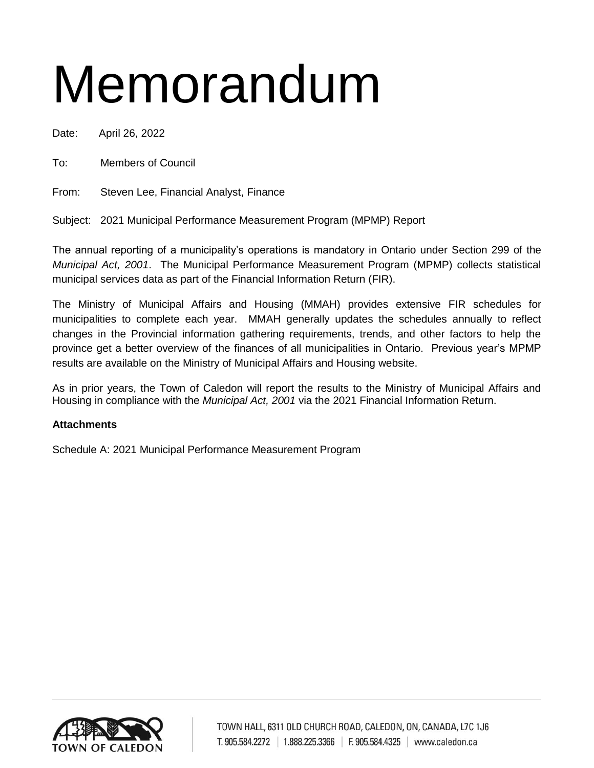# Memorandum

Date: April 26, 2022

To: Members of Council

From: Steven Lee, Financial Analyst, Finance

Subject: 2021 Municipal Performance Measurement Program (MPMP) Report

The annual reporting of a municipality's operations is mandatory in Ontario under Section 299 of the *Municipal Act, 2001*. The Municipal Performance Measurement Program (MPMP) collects statistical municipal services data as part of the Financial Information Return (FIR).

The Ministry of Municipal Affairs and Housing (MMAH) provides extensive FIR schedules for municipalities to complete each year. MMAH generally updates the schedules annually to reflect changes in the Provincial information gathering requirements, trends, and other factors to help the province get a better overview of the finances of all municipalities in Ontario. Previous year's MPMP results are available on the Ministry of Municipal Affairs and Housing website.

As in prior years, the Town of Caledon will report the results to the Ministry of Municipal Affairs and Housing in compliance with the *Municipal Act, 2001* via the 2021 Financial Information Return.

# **Attachments**

Schedule A: 2021 Municipal Performance Measurement Program

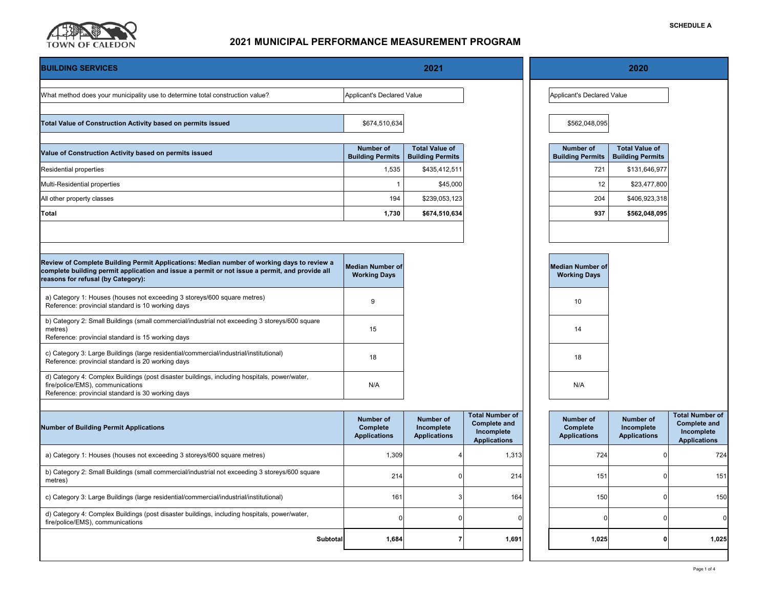

| <b>BUILDING SERVICES</b>                                                                                                                                                                                                           | 2021                                                |                                                       |                                                                                    | 2020                                                |                                                       |                                                                                    |  |
|------------------------------------------------------------------------------------------------------------------------------------------------------------------------------------------------------------------------------------|-----------------------------------------------------|-------------------------------------------------------|------------------------------------------------------------------------------------|-----------------------------------------------------|-------------------------------------------------------|------------------------------------------------------------------------------------|--|
| What method does your municipality use to determine total construction value?                                                                                                                                                      | Applicant's Declared Value                          |                                                       |                                                                                    | Applicant's Declared Value                          |                                                       |                                                                                    |  |
| Total Value of Construction Activity based on permits issued                                                                                                                                                                       | \$674,510,634                                       |                                                       |                                                                                    | \$562,048,095                                       |                                                       |                                                                                    |  |
| Value of Construction Activity based on permits issued                                                                                                                                                                             | <b>Number of</b><br><b>Building Permits</b>         | <b>Total Value of</b><br><b>Building Permits</b>      |                                                                                    | <b>Number of</b><br><b>Building Permits</b>         | <b>Total Value of</b><br><b>Building Permits</b>      |                                                                                    |  |
| Residential properties                                                                                                                                                                                                             | 1,535                                               | \$435,412,511                                         |                                                                                    | 721                                                 | \$131,646,977                                         |                                                                                    |  |
| Multi-Residential properties                                                                                                                                                                                                       | $\overline{1}$                                      | \$45,000                                              |                                                                                    | 12                                                  | \$23,477,800                                          |                                                                                    |  |
| All other property classes                                                                                                                                                                                                         | 194                                                 | \$239,053,123                                         |                                                                                    | 204                                                 | \$406,923,318                                         |                                                                                    |  |
| Total                                                                                                                                                                                                                              | 1,730                                               | \$674,510,634                                         |                                                                                    | 937                                                 | \$562,048,095                                         |                                                                                    |  |
|                                                                                                                                                                                                                                    |                                                     |                                                       |                                                                                    |                                                     |                                                       |                                                                                    |  |
| Review of Complete Building Permit Applications: Median number of working days to review a<br>complete building permit application and issue a permit or not issue a permit, and provide all<br>reasons for refusal (by Category): | <b>Median Number of</b><br><b>Working Days</b>      |                                                       |                                                                                    | <b>Median Number of</b><br><b>Working Days</b>      |                                                       |                                                                                    |  |
| a) Category 1: Houses (houses not exceeding 3 storeys/600 square metres)<br>Reference: provincial standard is 10 working days                                                                                                      | 9                                                   |                                                       |                                                                                    | 10                                                  |                                                       |                                                                                    |  |
| b) Category 2: Small Buildings (small commercial/industrial not exceeding 3 storeys/600 square<br>metres)<br>Reference: provincial standard is 15 working days                                                                     | 15                                                  |                                                       |                                                                                    | 14                                                  |                                                       |                                                                                    |  |
| c) Category 3: Large Buildings (large residential/commercial/industrial/institutional)<br>Reference: provincial standard is 20 working days                                                                                        | 18                                                  |                                                       |                                                                                    | 18                                                  |                                                       |                                                                                    |  |
| d) Category 4: Complex Buildings (post disaster buildings, including hospitals, power/water,<br>fire/police/EMS), communications<br>Reference: provincial standard is 30 working days                                              | N/A                                                 |                                                       |                                                                                    | N/A                                                 |                                                       |                                                                                    |  |
| <b>Number of Building Permit Applications</b>                                                                                                                                                                                      | <b>Number of</b><br>Complete<br><b>Applications</b> | <b>Number of</b><br>Incomplete<br><b>Applications</b> | <b>Total Number of</b><br><b>Complete and</b><br>Incomplete<br><b>Applications</b> | <b>Number of</b><br>Complete<br><b>Applications</b> | <b>Number of</b><br>Incomplete<br><b>Applications</b> | <b>Total Number of</b><br><b>Complete and</b><br>Incomplete<br><b>Applications</b> |  |
| a) Category 1: Houses (houses not exceeding 3 storeys/600 square metres)                                                                                                                                                           | 1,309                                               |                                                       | 1,313                                                                              | 724                                                 |                                                       | 724                                                                                |  |
| b) Category 2: Small Buildings (small commercial/industrial not exceeding 3 storeys/600 square<br>metres)                                                                                                                          | 214                                                 |                                                       | 214                                                                                | 151                                                 |                                                       | 151                                                                                |  |
| c) Category 3: Large Buildings (large residential/commercial/industrial/institutional)                                                                                                                                             | 161                                                 |                                                       | 164                                                                                | 150                                                 |                                                       | 150                                                                                |  |
| d) Category 4: Complex Buildings (post disaster buildings, including hospitals, power/water,<br>fire/police/EMS), communications                                                                                                   | ſ                                                   | ſ                                                     | ſ                                                                                  | U                                                   | n                                                     |                                                                                    |  |
| Subtotal                                                                                                                                                                                                                           | 1,684                                               | $\overline{7}$                                        | 1,691                                                                              | 1,025                                               | 0                                                     | 1,025                                                                              |  |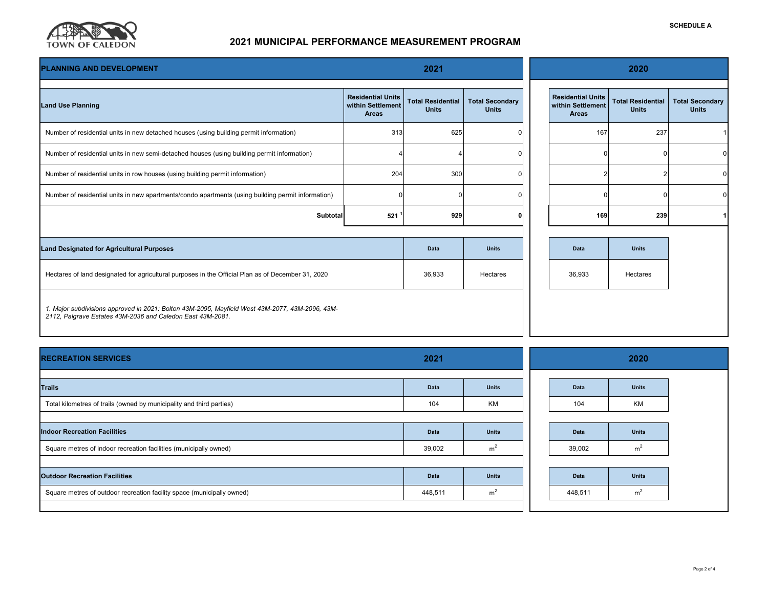

# **2021 MUNICIPAL PERFORMANCE MEASUREMENT PROGRAM**

| 2021<br><b>PLANNING AND DEVELOPMENT</b>                                                                                                                       |                                                               |                                          |                                        | 2020 |                                                               |                                          |                                        |
|---------------------------------------------------------------------------------------------------------------------------------------------------------------|---------------------------------------------------------------|------------------------------------------|----------------------------------------|------|---------------------------------------------------------------|------------------------------------------|----------------------------------------|
| <b>Land Use Planning</b>                                                                                                                                      | <b>Residential Units</b><br>within Settlement<br><b>Areas</b> | <b>Total Residential</b><br><b>Units</b> | <b>Total Secondary</b><br><b>Units</b> |      | <b>Residential Units</b><br>within Settlement<br><b>Areas</b> | <b>Total Residential</b><br><b>Units</b> | <b>Total Secondary</b><br><b>Units</b> |
| Number of residential units in new detached houses (using building permit information)                                                                        | 313                                                           | 625                                      |                                        |      | 167                                                           | 237                                      |                                        |
| Number of residential units in new semi-detached houses (using building permit information)                                                                   |                                                               |                                          |                                        |      |                                                               |                                          | U                                      |
| Number of residential units in row houses (using building permit information)                                                                                 | 204                                                           | 300                                      |                                        |      |                                                               |                                          | U                                      |
| Number of residential units in new apartments/condo apartments (using building permit information)                                                            |                                                               |                                          |                                        |      |                                                               |                                          |                                        |
| Subtotal                                                                                                                                                      | 521                                                           | 929                                      |                                        |      | 169                                                           | 239                                      |                                        |
|                                                                                                                                                               |                                                               |                                          |                                        |      |                                                               |                                          |                                        |
| <b>Land Designated for Agricultural Purposes</b>                                                                                                              |                                                               | Data                                     | <b>Units</b>                           |      | Data                                                          | <b>Units</b>                             |                                        |
| Hectares of land designated for agricultural purposes in the Official Plan as of December 31, 2020                                                            |                                                               | 36,933                                   | Hectares                               |      | 36,933                                                        | Hectares                                 |                                        |
| 1. Major subdivisions approved in 2021: Bolton 43M-2095, Mayfield West 43M-2077, 43M-2096, 43M-<br>2112, Palgrave Estates 43M-2036 and Caledon East 43M-2081. |                                                               |                                          |                                        |      |                                                               |                                          |                                        |

| <b>RECREATION SERVICES</b>                                             | 2021        |                |  | 2020    |                |  |  |
|------------------------------------------------------------------------|-------------|----------------|--|---------|----------------|--|--|
| <b>Trails</b>                                                          | <b>Data</b> | <b>Units</b>   |  | Data    | <b>Units</b>   |  |  |
| Total kilometres of trails (owned by municipality and third parties)   | 104         | <b>KM</b>      |  | 104     | KM             |  |  |
| <b>Indoor Recreation Facilities</b>                                    | Data        | <b>Units</b>   |  | Data    | <b>Units</b>   |  |  |
| Square metres of indoor recreation facilities (municipally owned)      | 39,002      | m <sup>2</sup> |  | 39,002  | m <sup>2</sup> |  |  |
|                                                                        |             |                |  |         |                |  |  |
| <b>Outdoor Recreation Facilities</b>                                   | Data        | <b>Units</b>   |  | Data    | <b>Units</b>   |  |  |
| Square metres of outdoor recreation facility space (municipally owned) | 448,511     | m <sup>2</sup> |  | 448,511 | m <sup>2</sup> |  |  |
|                                                                        |             |                |  |         |                |  |  |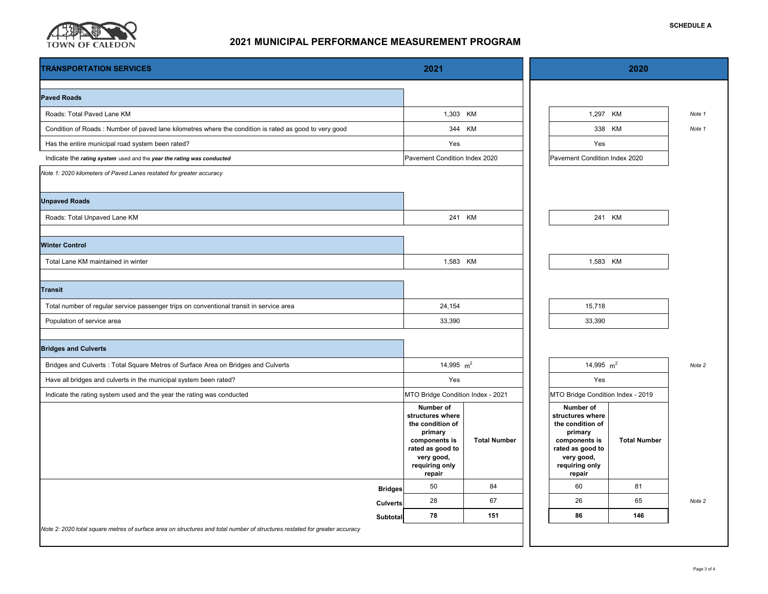

# **2021 MUNICIPAL PERFORMANCE MEASUREMENT PROGRAM**

| <b>TRANSPORTATION SERVICES</b>                                                                                                          | 2021                                                                                                                                        |                                                                        |  | 2020                                                                                                                                        |                     |        |  |
|-----------------------------------------------------------------------------------------------------------------------------------------|---------------------------------------------------------------------------------------------------------------------------------------------|------------------------------------------------------------------------|--|---------------------------------------------------------------------------------------------------------------------------------------------|---------------------|--------|--|
| <b>Paved Roads</b>                                                                                                                      |                                                                                                                                             |                                                                        |  |                                                                                                                                             |                     |        |  |
| Roads: Total Paved Lane KM                                                                                                              | 1,303 KM                                                                                                                                    |                                                                        |  | 1,297 KM                                                                                                                                    |                     | Note 1 |  |
| Condition of Roads: Number of paved lane kilometres where the condition is rated as good to very good                                   |                                                                                                                                             | 344 KM                                                                 |  |                                                                                                                                             | 338 KM              | Note 1 |  |
| Has the entire municipal road system been rated?                                                                                        | Yes                                                                                                                                         |                                                                        |  | Yes                                                                                                                                         |                     |        |  |
| Indicate the rating system used and the year the rating was conducted                                                                   | Pavement Condition Index 2020                                                                                                               |                                                                        |  | Pavement Condition Index 2020                                                                                                               |                     |        |  |
| Note 1: 2020 kilometers of Paved Lanes restated for greater accuracy                                                                    |                                                                                                                                             |                                                                        |  |                                                                                                                                             |                     |        |  |
| <b>Unpaved Roads</b>                                                                                                                    |                                                                                                                                             |                                                                        |  |                                                                                                                                             |                     |        |  |
| Roads: Total Unpaved Lane KM                                                                                                            |                                                                                                                                             | 241 KM                                                                 |  | 241 KM                                                                                                                                      |                     |        |  |
| <b>Winter Control</b>                                                                                                                   |                                                                                                                                             |                                                                        |  |                                                                                                                                             |                     |        |  |
| Total Lane KM maintained in winter                                                                                                      | 1,583 KM                                                                                                                                    |                                                                        |  | 1,583 KM                                                                                                                                    |                     |        |  |
| <b>Transit</b>                                                                                                                          |                                                                                                                                             |                                                                        |  |                                                                                                                                             |                     |        |  |
| Total number of regular service passenger trips on conventional transit in service area                                                 | 24,154                                                                                                                                      |                                                                        |  | 15,718                                                                                                                                      |                     |        |  |
| Population of service area                                                                                                              | 33,390                                                                                                                                      |                                                                        |  | 33,390                                                                                                                                      |                     |        |  |
| <b>Bridges and Culverts</b>                                                                                                             |                                                                                                                                             |                                                                        |  |                                                                                                                                             |                     |        |  |
| Bridges and Culverts : Total Square Metres of Surface Area on Bridges and Culverts                                                      |                                                                                                                                             | 14,995 $m2$                                                            |  | 14,995 $m2$                                                                                                                                 |                     | Note 2 |  |
| Have all bridges and culverts in the municipal system been rated?                                                                       | Yes                                                                                                                                         |                                                                        |  | Yes                                                                                                                                         |                     |        |  |
| Indicate the rating system used and the year the rating was conducted                                                                   |                                                                                                                                             | MTO Bridge Condition Index - 2021<br>MTO Bridge Condition Index - 2019 |  |                                                                                                                                             |                     |        |  |
|                                                                                                                                         | Number of<br>structures where<br>the condition of<br>primary<br>components is<br>rated as good to<br>very good,<br>requiring only<br>repair | <b>Total Number</b>                                                    |  | Number of<br>structures where<br>the condition of<br>primary<br>components is<br>rated as good to<br>very good,<br>requiring only<br>repair | <b>Total Number</b> |        |  |
| <b>Bridges</b>                                                                                                                          | 50                                                                                                                                          | 84                                                                     |  | 60                                                                                                                                          | 81                  |        |  |
| <b>Culverts</b>                                                                                                                         | 28<br>78                                                                                                                                    | 67<br>151                                                              |  | 26<br>86                                                                                                                                    | 65<br>146           | Note 2 |  |
| Subtotal<br>Note 2: 2020 total square metres of surface area on structures and total number of structures restated for greater accuracy |                                                                                                                                             |                                                                        |  |                                                                                                                                             |                     |        |  |